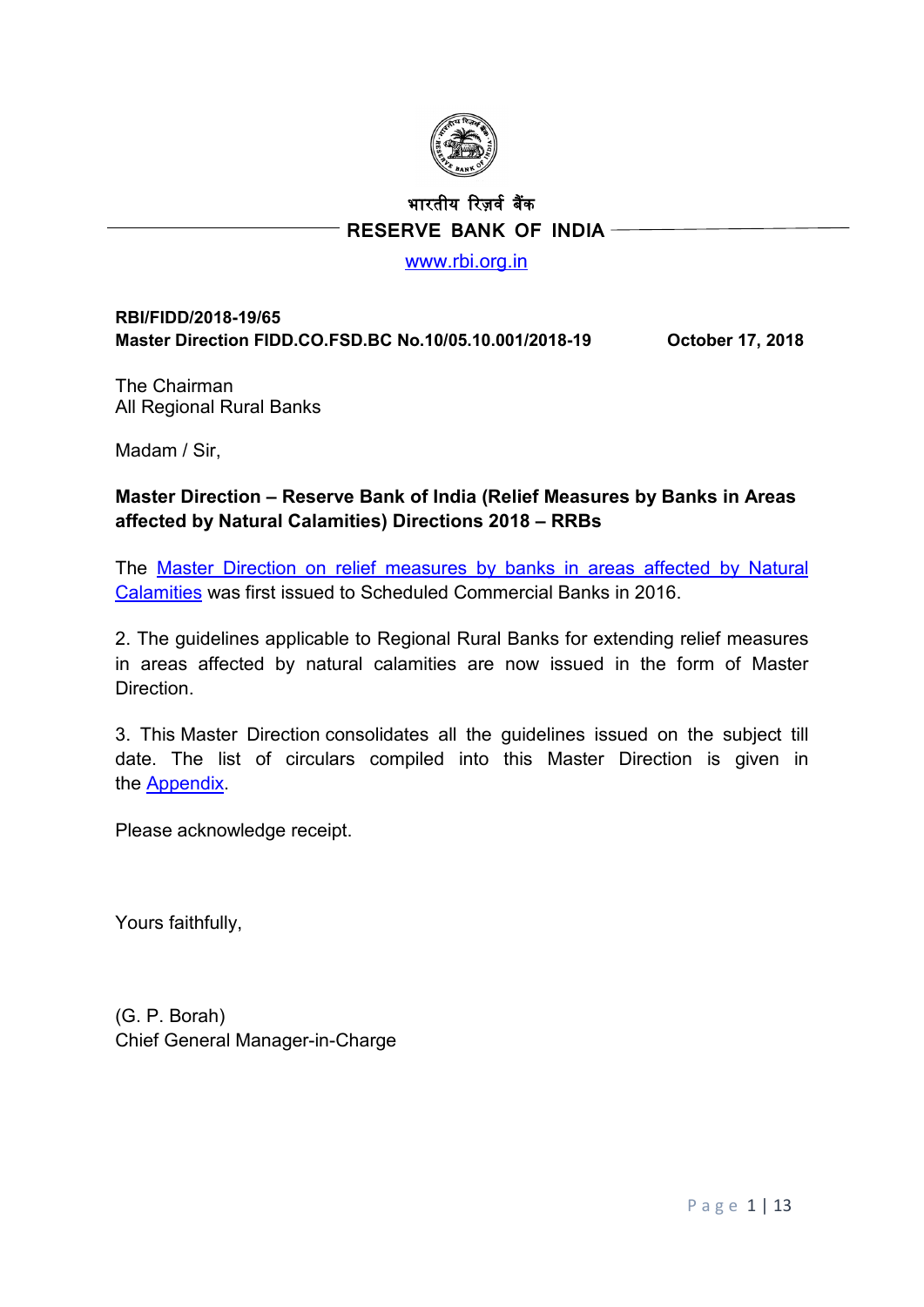

# भारतीय �रज़वर् ब�क  **RESERVE BANK OF INDIA**

#### [www.rbi.org.in](http://www.rbi.org.in/)

#### **RBI/FIDD/2018-19/65 Master Direction FIDD.CO.FSD.BC No.10/05.10.001/2018-19 October 17, 2018**

The Chairman All Regional Rural Banks

Madam / Sir,

## **Master Direction – Reserve Bank of India (Relief Measures by Banks in Areas affected by Natural Calamities) Directions 2018 – RRBs**

The [Master Direction on relief measures by banks in areas affected by Natural](https://rbi.org.in/Scripts/BS_ViewMasDirections.aspx?id=10478)  [Calamities](https://rbi.org.in/Scripts/BS_ViewMasDirections.aspx?id=10478) was first issued to Scheduled Commercial Banks in 2016.

2. The guidelines applicable to Regional Rural Banks for extending relief measures in areas affected by natural calamities are now issued in the form of Master Direction.

3. This Master Direction consolidates all the guidelines issued on the subject till date. The list of circulars compiled into this Master Direction is given in the [Appendix.](#page-11-0)

Please acknowledge receipt.

Yours faithfully,

(G. P. Borah) Chief General Manager-in-Charge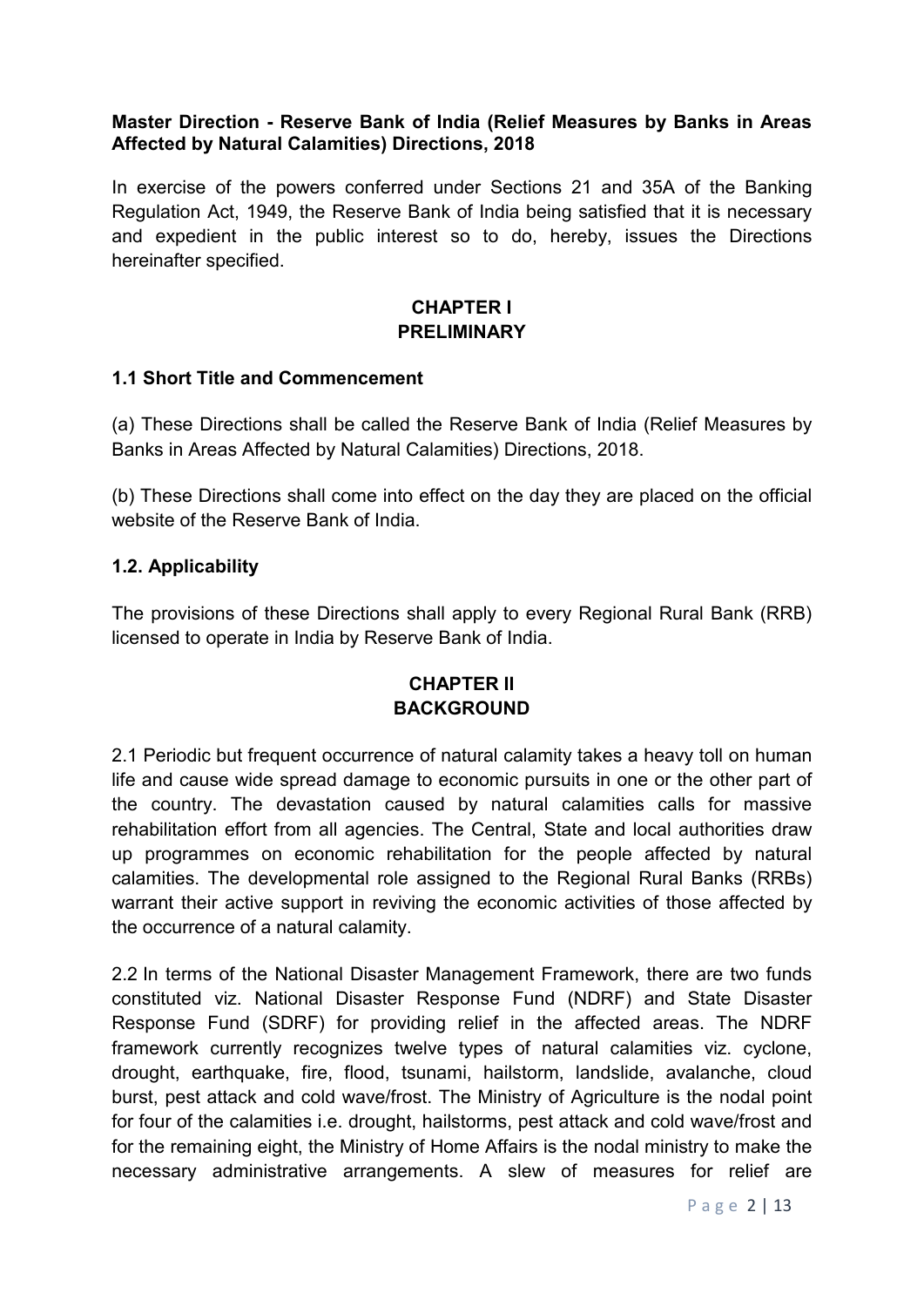#### **Master Direction - Reserve Bank of India (Relief Measures by Banks in Areas Affected by Natural Calamities) Directions, 2018**

In exercise of the powers conferred under Sections 21 and 35A of the Banking Regulation Act, 1949, the Reserve Bank of India being satisfied that it is necessary and expedient in the public interest so to do, hereby, issues the Directions hereinafter specified.

### **CHAPTER I PRELIMINARY**

#### **1.1 Short Title and Commencement**

(a) These Directions shall be called the Reserve Bank of India (Relief Measures by Banks in Areas Affected by Natural Calamities) Directions, 2018.

(b) These Directions shall come into effect on the day they are placed on the official website of the Reserve Bank of India.

#### **1.2. Applicability**

The provisions of these Directions shall apply to every Regional Rural Bank (RRB) licensed to operate in India by Reserve Bank of India.

### **CHAPTER II BACKGROUND**

2.1 Periodic but frequent occurrence of natural calamity takes a heavy toll on human life and cause wide spread damage to economic pursuits in one or the other part of the country. The devastation caused by natural calamities calls for massive rehabilitation effort from all agencies. The Central, State and local authorities draw up programmes on economic rehabilitation for the people affected by natural calamities. The developmental role assigned to the Regional Rural Banks (RRBs) warrant their active support in reviving the economic activities of those affected by the occurrence of a natural calamity.

2.2 In terms of the National Disaster Management Framework, there are two funds constituted viz. National Disaster Response Fund (NDRF) and State Disaster Response Fund (SDRF) for providing relief in the affected areas. The NDRF framework currently recognizes twelve types of natural calamities viz. cyclone, drought, earthquake, fire, flood, tsunami, hailstorm, landslide, avalanche, cloud burst, pest attack and cold wave/frost. The Ministry of Agriculture is the nodal point for four of the calamities i.e. drought, hailstorms, pest attack and cold wave/frost and for the remaining eight, the Ministry of Home Affairs is the nodal ministry to make the necessary administrative arrangements. A slew of measures for relief are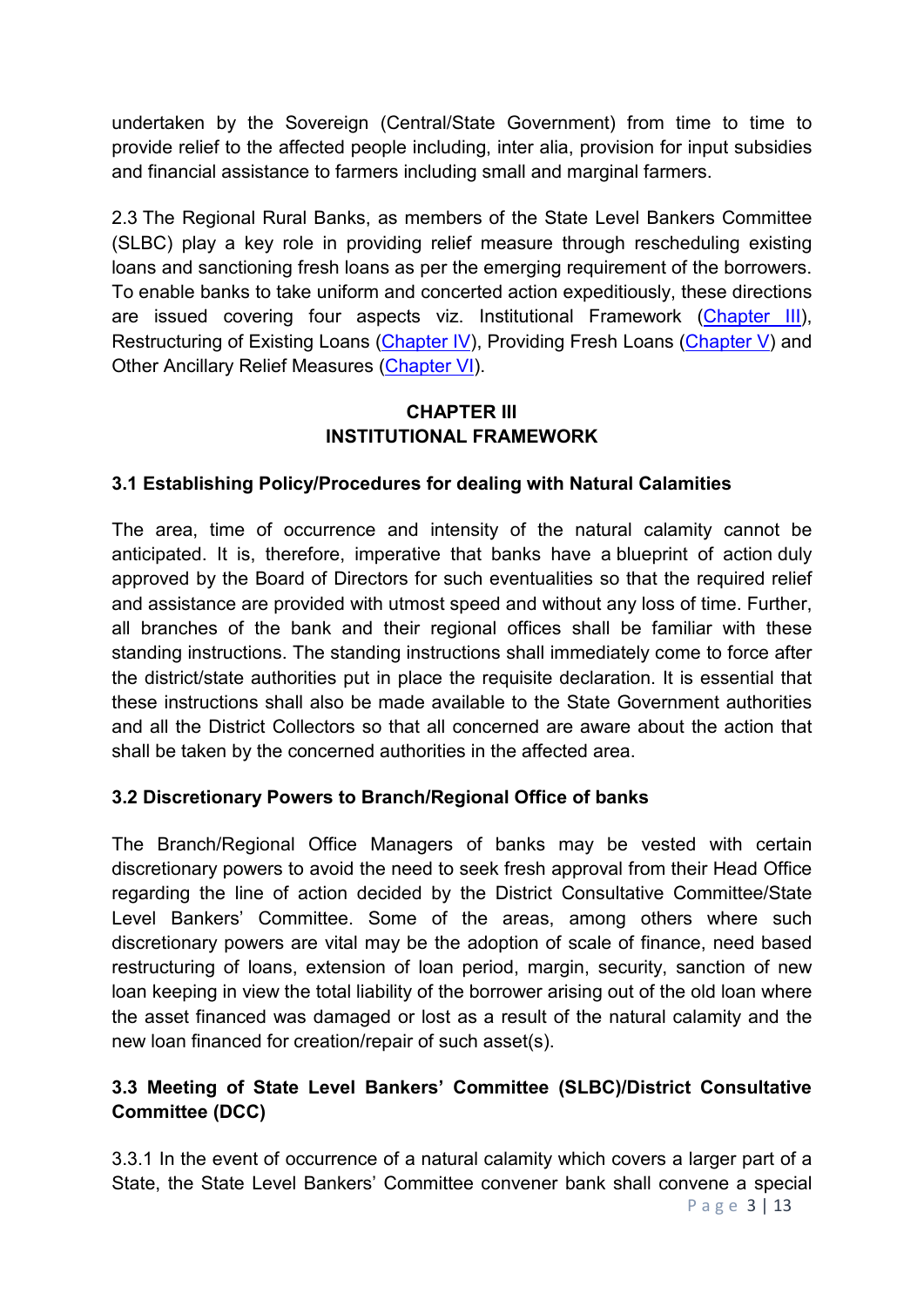undertaken by the Sovereign (Central/State Government) from time to time to provide relief to the affected people including, inter alia, provision for input subsidies and financial assistance to farmers including small and marginal farmers.

2.3 The Regional Rural Banks, as members of the State Level Bankers Committee (SLBC) play a key role in providing relief measure through rescheduling existing loans and sanctioning fresh loans as per the emerging requirement of the borrowers. To enable banks to take uniform and concerted action expeditiously, these directions are issued covering four aspects viz. Institutional Framework [\(Chapter III\)](#page-2-0), Restructuring of Existing Loans [\(Chapter IV\)](#page-4-0), Providing Fresh Loans [\(Chapter V\)](#page-7-0) and Other Ancillary Relief Measures [\(Chapter VI\)](#page-8-0).

## **CHAPTER III INSTITUTIONAL FRAMEWORK**

# <span id="page-2-0"></span>**3.1 Establishing Policy/Procedures for dealing with Natural Calamities**

The area, time of occurrence and intensity of the natural calamity cannot be anticipated. It is, therefore, imperative that banks have a blueprint of action duly approved by the Board of Directors for such eventualities so that the required relief and assistance are provided with utmost speed and without any loss of time. Further, all branches of the bank and their regional offices shall be familiar with these standing instructions. The standing instructions shall immediately come to force after the district/state authorities put in place the requisite declaration. It is essential that these instructions shall also be made available to the State Government authorities and all the District Collectors so that all concerned are aware about the action that shall be taken by the concerned authorities in the affected area.

### **3.2 Discretionary Powers to Branch/Regional Office of banks**

The Branch/Regional Office Managers of banks may be vested with certain discretionary powers to avoid the need to seek fresh approval from their Head Office regarding the line of action decided by the District Consultative Committee/State Level Bankers' Committee. Some of the areas, among others where such discretionary powers are vital may be the adoption of scale of finance, need based restructuring of loans, extension of loan period, margin, security, sanction of new loan keeping in view the total liability of the borrower arising out of the old loan where the asset financed was damaged or lost as a result of the natural calamity and the new loan financed for creation/repair of such asset(s).

## **3.3 Meeting of State Level Bankers' Committee (SLBC)/District Consultative Committee (DCC)**

3.3.1 In the event of occurrence of a natural calamity which covers a larger part of a State, the State Level Bankers' Committee convener bank shall convene a special

Page 3 | 13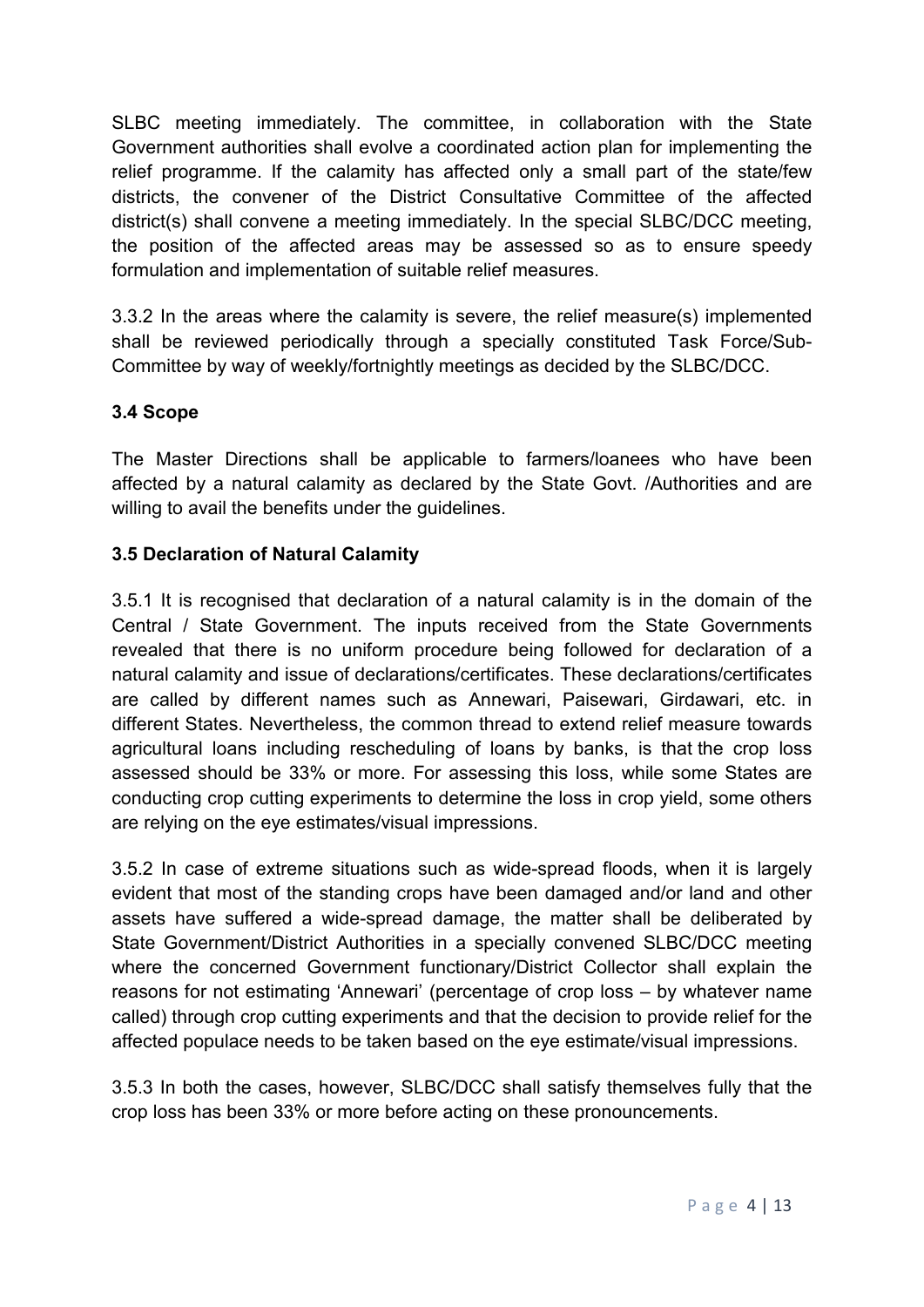SLBC meeting immediately. The committee, in collaboration with the State Government authorities shall evolve a coordinated action plan for implementing the relief programme. If the calamity has affected only a small part of the state/few districts, the convener of the District Consultative Committee of the affected district(s) shall convene a meeting immediately. In the special SLBC/DCC meeting, the position of the affected areas may be assessed so as to ensure speedy formulation and implementation of suitable relief measures.

3.3.2 In the areas where the calamity is severe, the relief measure(s) implemented shall be reviewed periodically through a specially constituted Task Force/Sub-Committee by way of weekly/fortnightly meetings as decided by the SLBC/DCC.

## **3.4 Scope**

The Master Directions shall be applicable to farmers/loanees who have been affected by a natural calamity as declared by the State Govt. /Authorities and are willing to avail the benefits under the guidelines.

## **3.5 Declaration of Natural Calamity**

3.5.1 It is recognised that declaration of a natural calamity is in the domain of the Central / State Government. The inputs received from the State Governments revealed that there is no uniform procedure being followed for declaration of a natural calamity and issue of declarations/certificates. These declarations/certificates are called by different names such as Annewari, Paisewari, Girdawari, etc. in different States. Nevertheless, the common thread to extend relief measure towards agricultural loans including rescheduling of loans by banks, is that the crop loss assessed should be 33% or more. For assessing this loss, while some States are conducting crop cutting experiments to determine the loss in crop yield, some others are relying on the eye estimates/visual impressions.

3.5.2 In case of extreme situations such as wide-spread floods, when it is largely evident that most of the standing crops have been damaged and/or land and other assets have suffered a wide-spread damage, the matter shall be deliberated by State Government/District Authorities in a specially convened SLBC/DCC meeting where the concerned Government functionary/District Collector shall explain the reasons for not estimating 'Annewari' (percentage of crop loss – by whatever name called) through crop cutting experiments and that the decision to provide relief for the affected populace needs to be taken based on the eye estimate/visual impressions.

3.5.3 In both the cases, however, SLBC/DCC shall satisfy themselves fully that the crop loss has been 33% or more before acting on these pronouncements.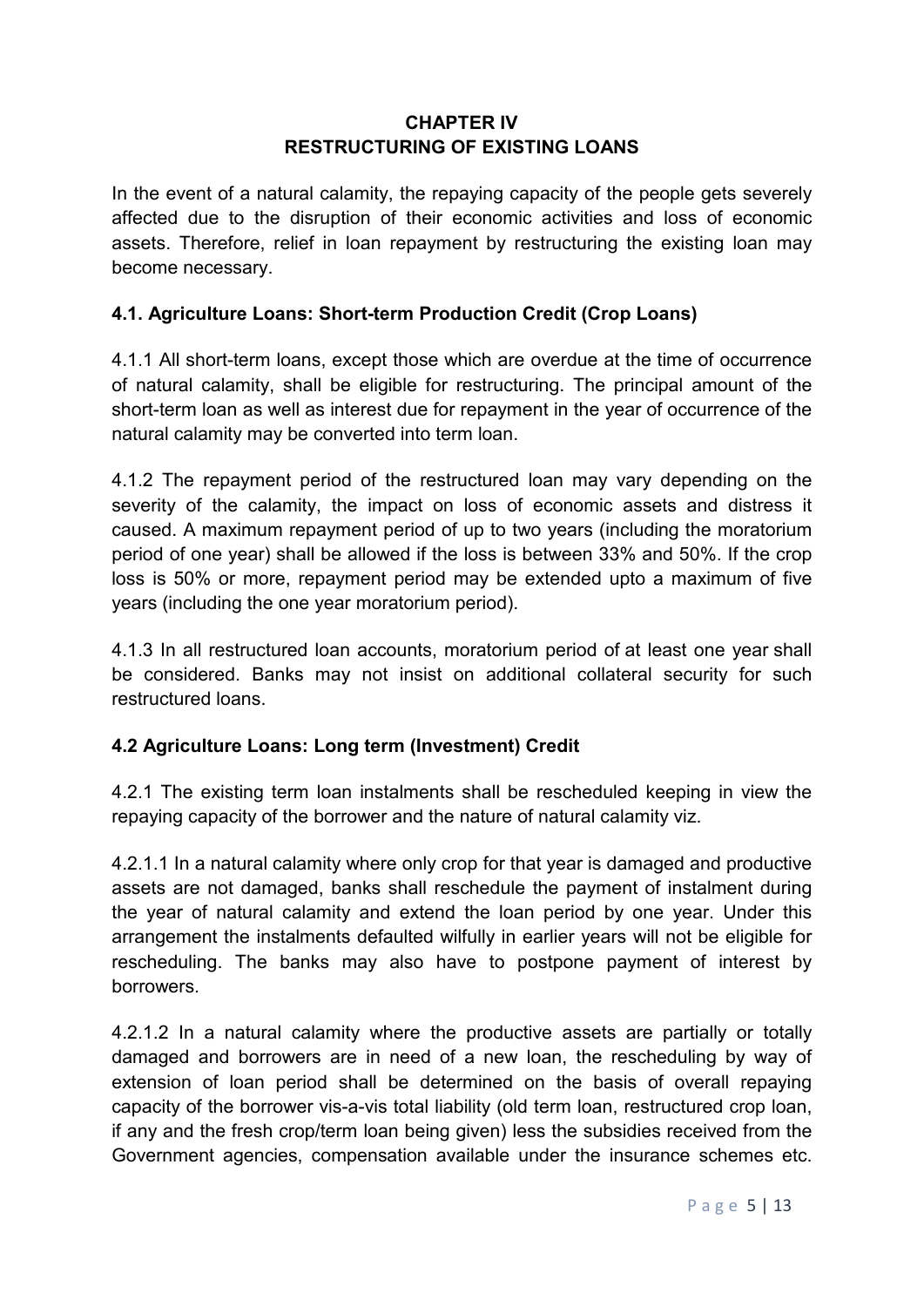## **CHAPTER IV RESTRUCTURING OF EXISTING LOANS**

<span id="page-4-0"></span>In the event of a natural calamity, the repaying capacity of the people gets severely affected due to the disruption of their economic activities and loss of economic assets. Therefore, relief in loan repayment by restructuring the existing loan may become necessary.

## **4.1. Agriculture Loans: Short-term Production Credit (Crop Loans)**

4.1.1 All short-term loans, except those which are overdue at the time of occurrence of natural calamity, shall be eligible for restructuring. The principal amount of the short-term loan as well as interest due for repayment in the year of occurrence of the natural calamity may be converted into term loan.

4.1.2 The repayment period of the restructured loan may vary depending on the severity of the calamity, the impact on loss of economic assets and distress it caused. A maximum repayment period of up to two years (including the moratorium period of one year) shall be allowed if the loss is between 33% and 50%. If the crop loss is 50% or more, repayment period may be extended upto a maximum of five years (including the one year moratorium period).

4.1.3 In all restructured loan accounts, moratorium period of at least one year shall be considered. Banks may not insist on additional collateral security for such restructured loans.

### **4.2 Agriculture Loans: Long term (Investment) Credit**

4.2.1 The existing term loan instalments shall be rescheduled keeping in view the repaying capacity of the borrower and the nature of natural calamity viz.

4.2.1.1 In a natural calamity where only crop for that year is damaged and productive assets are not damaged, banks shall reschedule the payment of instalment during the year of natural calamity and extend the loan period by one year. Under this arrangement the instalments defaulted wilfully in earlier years will not be eligible for rescheduling. The banks may also have to postpone payment of interest by borrowers.

4.2.1.2 In a natural calamity where the productive assets are partially or totally damaged and borrowers are in need of a new loan, the rescheduling by way of extension of loan period shall be determined on the basis of overall repaying capacity of the borrower vis-a-vis total liability (old term loan, restructured crop loan, if any and the fresh crop/term loan being given) less the subsidies received from the Government agencies, compensation available under the insurance schemes etc.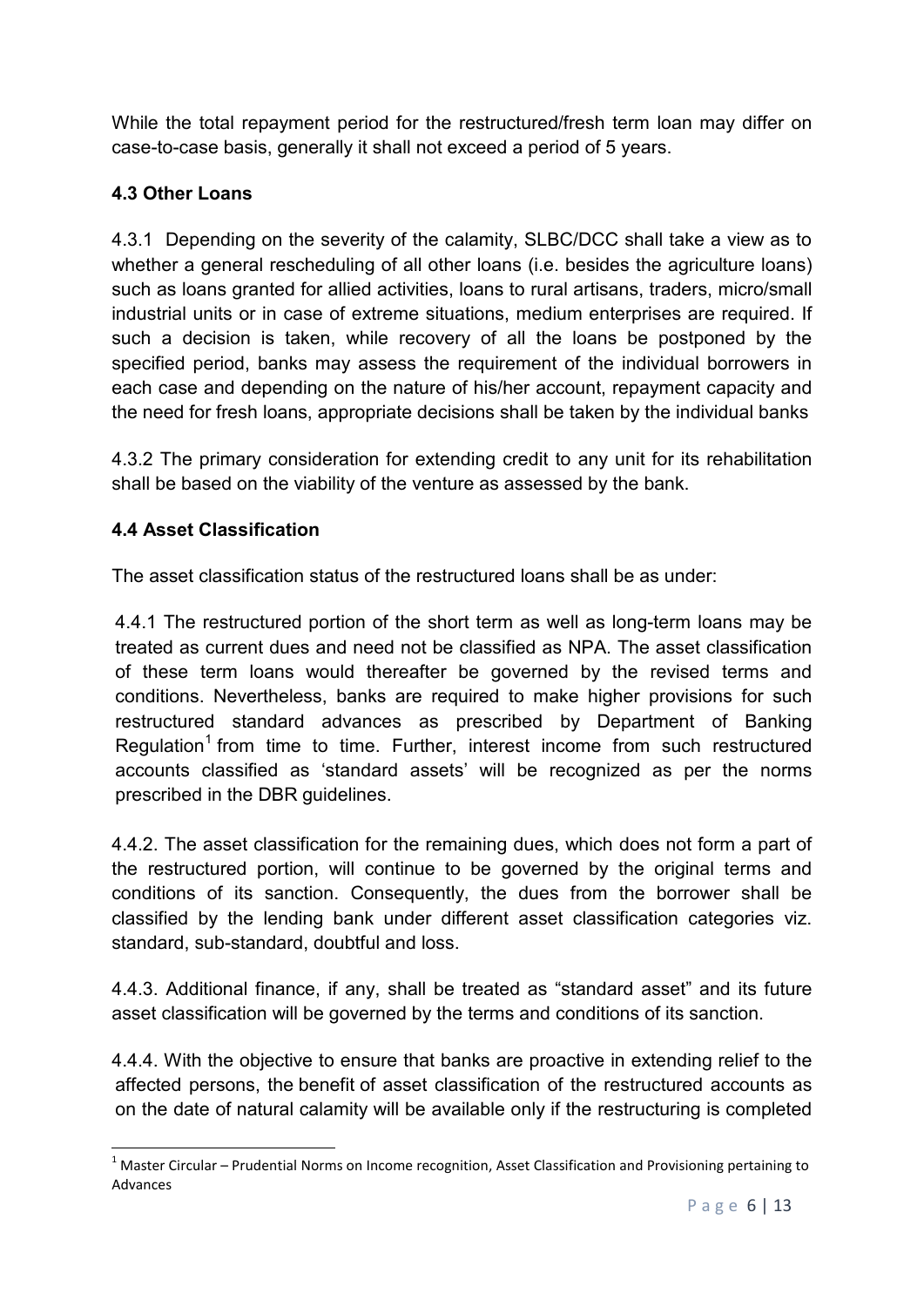While the total repayment period for the restructured/fresh term loan may differ on case-to-case basis, generally it shall not exceed a period of 5 years.

# **4.3 Other Loans**

4.3.1 Depending on the severity of the calamity, SLBC/DCC shall take a view as to whether a general rescheduling of all other loans (i.e. besides the agriculture loans) such as loans granted for allied activities, loans to rural artisans, traders, micro/small industrial units or in case of extreme situations, medium enterprises are required. If such a decision is taken, while recovery of all the loans be postponed by the specified period, banks may assess the requirement of the individual borrowers in each case and depending on the nature of his/her account, repayment capacity and the need for fresh loans, appropriate decisions shall be taken by the individual banks

4.3.2 The primary consideration for extending credit to any unit for its rehabilitation shall be based on the viability of the venture as assessed by the bank.

# **4.4 Asset Classification**

The asset classification status of the restructured loans shall be as under:

4.4.1 The restructured portion of the short term as well as long-term loans may be treated as current dues and need not be classified as NPA. The asset classification of these term loans would thereafter be governed by the revised terms and conditions. Nevertheless, banks are required to make higher provisions for such restructured standard advances as prescribed by Department of Banking Regulation<sup>[1](#page-5-0)</sup> from time to time. Further, interest income from such restructured accounts classified as 'standard assets' will be recognized as per the norms prescribed in the DBR guidelines.

4.4.2. The asset classification for the remaining dues, which does not form a part of the restructured portion, will continue to be governed by the original terms and conditions of its sanction. Consequently, the dues from the borrower shall be classified by the lending bank under different asset classification categories viz. standard, sub-standard, doubtful and loss.

4.4.3. Additional finance, if any, shall be treated as "standard asset" and its future asset classification will be governed by the terms and conditions of its sanction.

4.4.4. With the objective to ensure that banks are proactive in extending relief to the affected persons, the benefit of asset classification of the restructured accounts as on the date of natural calamity will be available only if the restructuring is completed

<span id="page-5-0"></span> $1$  Master Circular – Prudential Norms on Income recognition, Asset Classification and Provisioning pertaining to Advances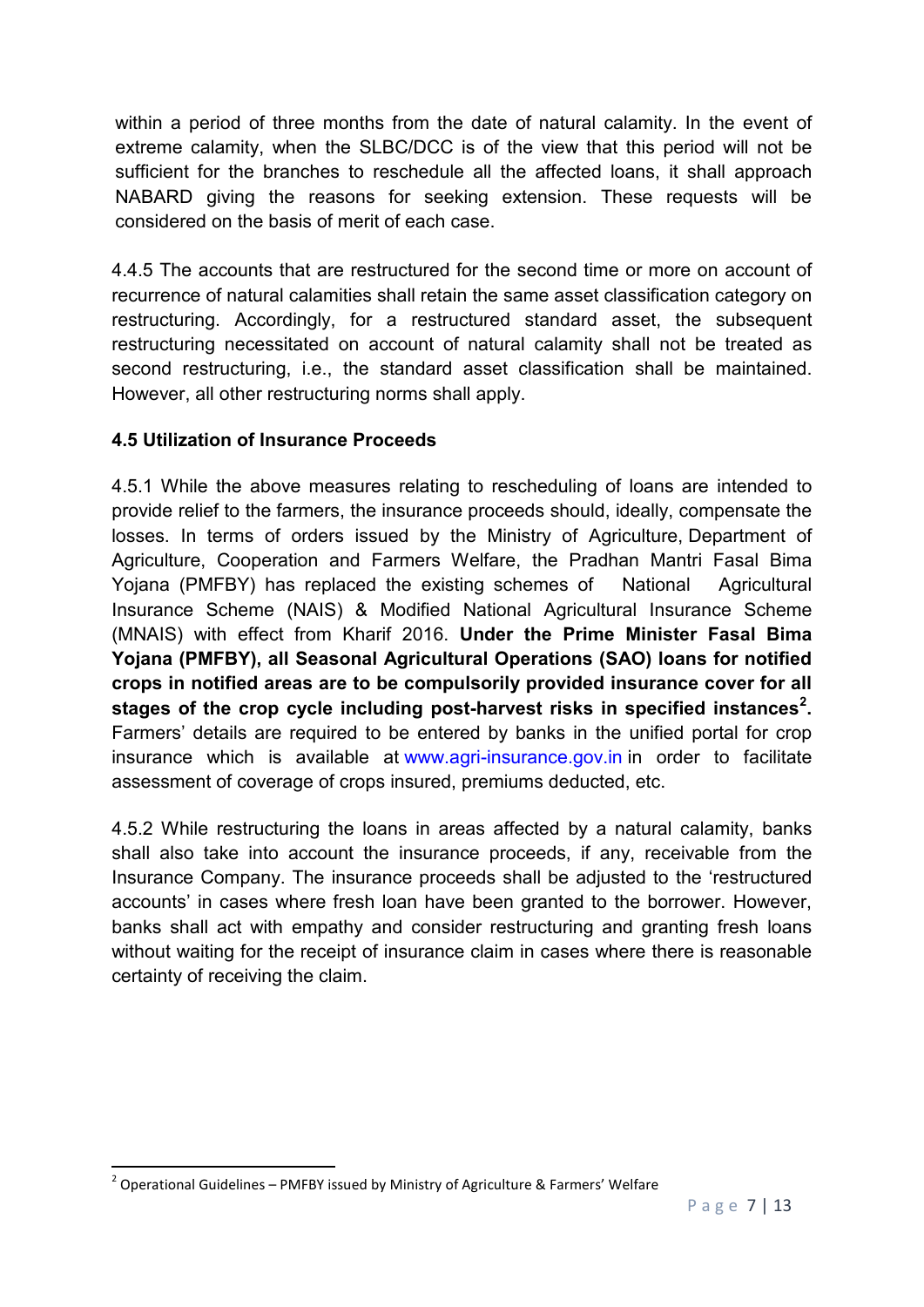within a period of three months from the date of natural calamity. In the event of extreme calamity, when the SLBC/DCC is of the view that this period will not be sufficient for the branches to reschedule all the affected loans, it shall approach NABARD giving the reasons for seeking extension. These requests will be considered on the basis of merit of each case.

4.4.5 The accounts that are restructured for the second time or more on account of recurrence of natural calamities shall retain the same asset classification category on restructuring. Accordingly, for a restructured standard asset, the subsequent restructuring necessitated on account of natural calamity shall not be treated as second restructuring, i.e., the standard asset classification shall be maintained. However, all other restructuring norms shall apply.

## **4.5 Utilization of Insurance Proceeds**

4.5.1 While the above measures relating to rescheduling of loans are intended to provide relief to the farmers, the insurance proceeds should, ideally, compensate the losses. In terms of orders issued by the Ministry of Agriculture, Department of Agriculture, Cooperation and Farmers Welfare, the Pradhan Mantri Fasal Bima Yojana (PMFBY) has replaced the existing schemes of National Agricultural Insurance Scheme (NAIS) & Modified National Agricultural Insurance Scheme (MNAIS) with effect from Kharif 2016. **Under the Prime Minister Fasal Bima Yojana (PMFBY), all Seasonal Agricultural Operations (SAO) loans for notified crops in notified areas are to be compulsorily provided insurance cover for all stages of the crop cycle including post-harvest risks in specified instances[2](#page-6-0) .**  Farmers' details are required to be entered by banks in the unified portal for crop insurance which is available at [www.agri-insurance.gov.in](http://www.agri-insurance.gov.in/) in order to facilitate assessment of coverage of crops insured, premiums deducted, etc.

4.5.2 While restructuring the loans in areas affected by a natural calamity, banks shall also take into account the insurance proceeds, if any, receivable from the Insurance Company. The insurance proceeds shall be adjusted to the 'restructured accounts' in cases where fresh loan have been granted to the borrower. However, banks shall act with empathy and consider restructuring and granting fresh loans without waiting for the receipt of insurance claim in cases where there is reasonable certainty of receiving the claim.

<span id="page-6-0"></span> $2$  Operational Guidelines – PMFBY issued by Ministry of Agriculture & Farmers' Welfare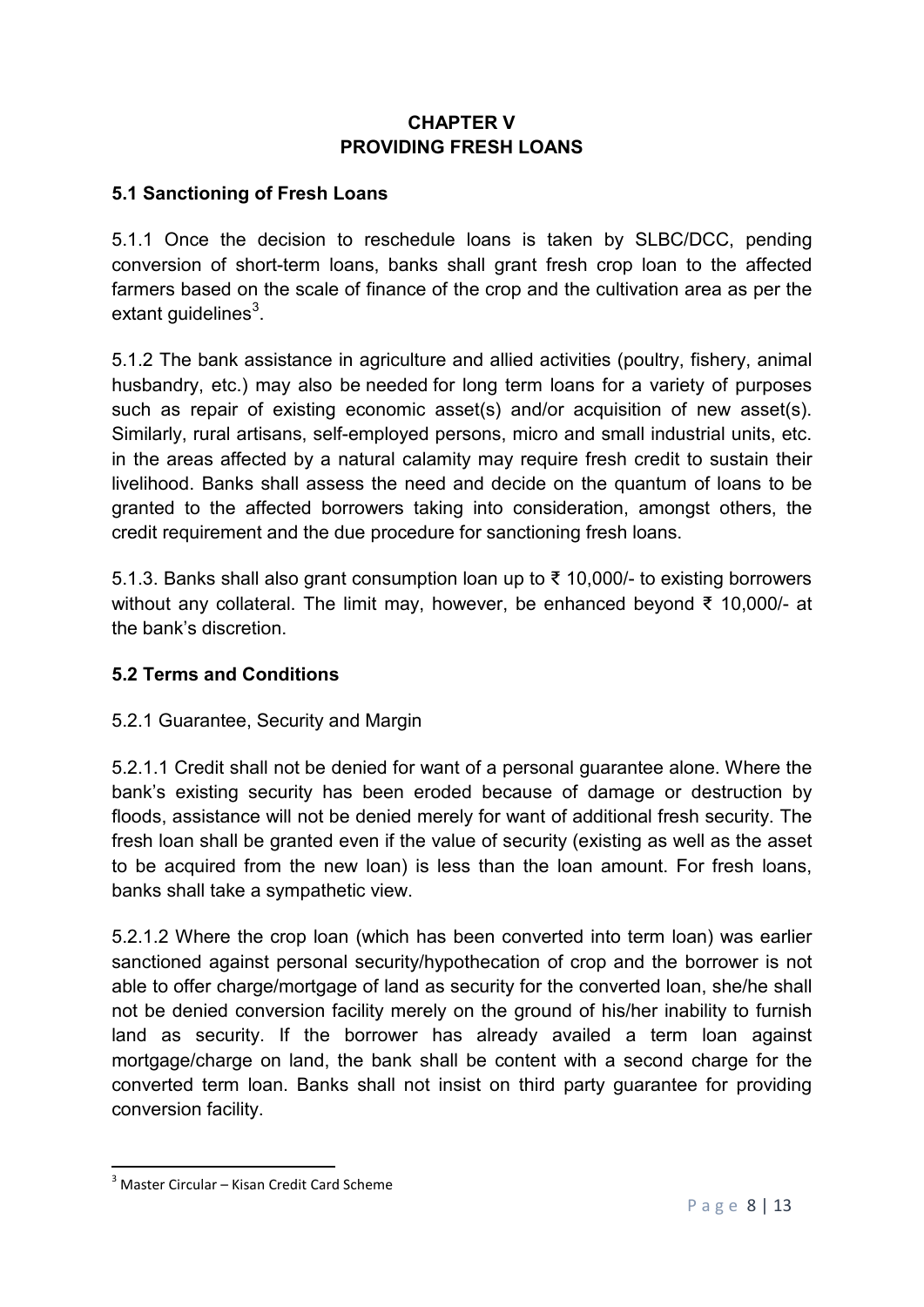## **CHAPTER V PROVIDING FRESH LOANS**

## <span id="page-7-0"></span>**5.1 Sanctioning of Fresh Loans**

5.1.1 Once the decision to reschedule loans is taken by SLBC/DCC, pending conversion of short-term loans, banks shall grant fresh crop loan to the affected farmers based on the scale of finance of the crop and the cultivation area as per the extant guidelines $^3$  $^3$ .

5.1.2 The bank assistance in agriculture and allied activities (poultry, fishery, animal husbandry, etc.) may also be needed for long term loans for a variety of purposes such as repair of existing economic asset(s) and/or acquisition of new asset(s). Similarly, rural artisans, self-employed persons, micro and small industrial units, etc. in the areas affected by a natural calamity may require fresh credit to sustain their livelihood. Banks shall assess the need and decide on the quantum of loans to be granted to the affected borrowers taking into consideration, amongst others, the credit requirement and the due procedure for sanctioning fresh loans.

5.1.3. Banks shall also grant consumption loan up to ₹ 10,000/- to existing borrowers without any collateral. The limit may, however, be enhanced beyond ₹ 10,000/- at the bank's discretion.

### **5.2 Terms and Conditions**

### 5.2.1 Guarantee, Security and Margin

5.2.1.1 Credit shall not be denied for want of a personal guarantee alone. Where the bank's existing security has been eroded because of damage or destruction by floods, assistance will not be denied merely for want of additional fresh security. The fresh loan shall be granted even if the value of security (existing as well as the asset to be acquired from the new loan) is less than the loan amount. For fresh loans, banks shall take a sympathetic view.

5.2.1.2 Where the crop loan (which has been converted into term loan) was earlier sanctioned against personal security/hypothecation of crop and the borrower is not able to offer charge/mortgage of land as security for the converted loan, she/he shall not be denied conversion facility merely on the ground of his/her inability to furnish land as security. If the borrower has already availed a term loan against mortgage/charge on land, the bank shall be content with a second charge for the converted term loan. Banks shall not insist on third party guarantee for providing conversion facility.

<span id="page-7-1"></span> $3$  Master Circular – Kisan Credit Card Scheme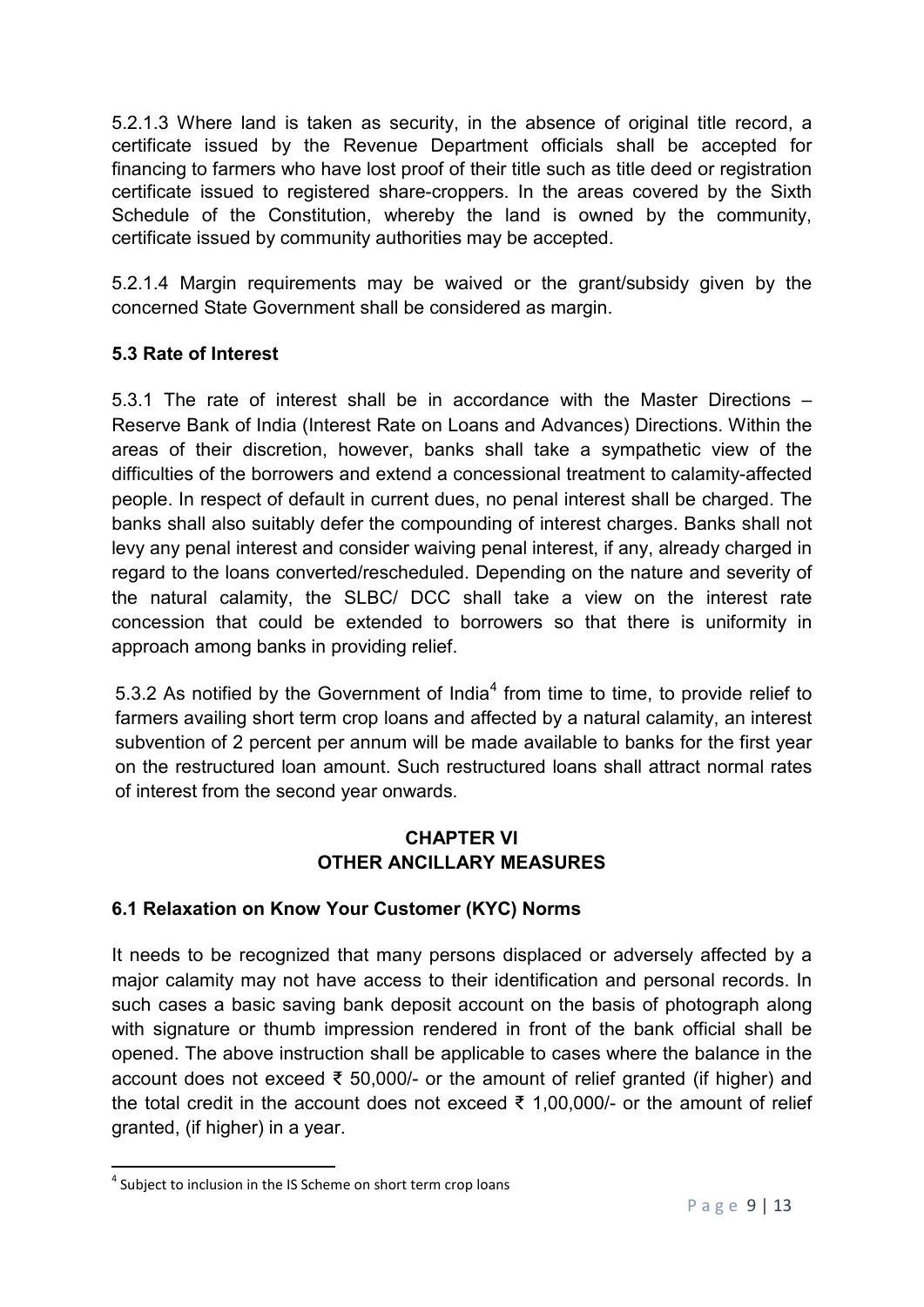5.2.1.3 Where land is taken as security, in the absence of original title record, a certificate issued by the Revenue Department officials shall be accepted for financing to farmers who have lost proof of their title such as title deed or registration certificate issued to registered share-croppers. In the areas covered by the Sixth Schedule of the Constitution, whereby the land is owned by the community, certificate issued by community authorities may be accepted.

5.2.1.4 Margin requirements may be waived or the grant/subsidy given by the concerned State Government shall be considered as margin.

## **5.3 Rate of Interest**

5.3.1 The rate of interest shall be in accordance with the Master Directions – Reserve Bank of India (Interest Rate on Loans and Advances) Directions. Within the areas of their discretion, however, banks shall take a sympathetic view of the difficulties of the borrowers and extend a concessional treatment to calamity-affected people. In respect of default in current dues, no penal interest shall be charged. The banks shall also suitably defer the compounding of interest charges. Banks shall not levy any penal interest and consider waiving penal interest, if any, already charged in regard to the loans converted/rescheduled. Depending on the nature and severity of the natural calamity, the SLBC/ DCC shall take a view on the interest rate concession that could be extended to borrowers so that there is uniformity in approach among banks in providing relief.

5.3.2 As notified by the Government of India<sup>[4](#page-8-1)</sup> from time to time, to provide relief to farmers availing short term crop loans and affected by a natural calamity, an interest subvention of 2 percent per annum will be made available to banks for the first year on the restructured loan amount. Such restructured loans shall attract normal rates of interest from the second year onwards.

## **CHAPTER VI OTHER ANCILLARY MEASURES**

# <span id="page-8-0"></span>**6.1 Relaxation on Know Your Customer (KYC) Norms**

It needs to be recognized that many persons displaced or adversely affected by a major calamity may not have access to their identification and personal records. In such cases a basic saving bank deposit account on the basis of photograph along with signature or thumb impression rendered in front of the bank official shall be opened. The above instruction shall be applicable to cases where the balance in the account does not exceed ₹ 50,000/- or the amount of relief granted (if higher) and the total credit in the account does not exceed ₹ 1,00,000/- or the amount of relief granted, (if higher) in a year.

<span id="page-8-1"></span><sup>&</sup>lt;sup>4</sup> Subject to inclusion in the IS Scheme on short term crop loans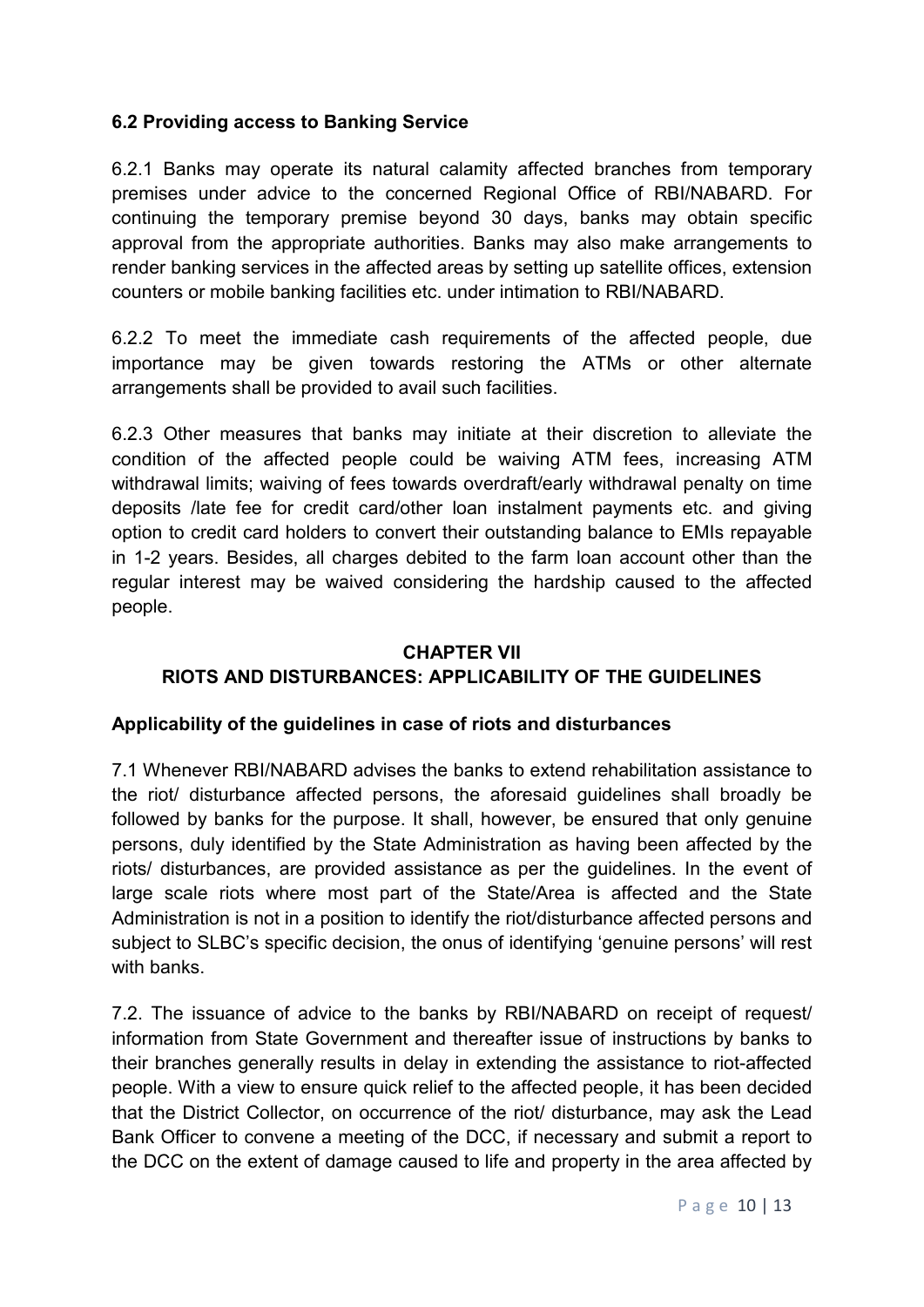### **6.2 Providing access to Banking Service**

6.2.1 Banks may operate its natural calamity affected branches from temporary premises under advice to the concerned Regional Office of RBI/NABARD. For continuing the temporary premise beyond 30 days, banks may obtain specific approval from the appropriate authorities. Banks may also make arrangements to render banking services in the affected areas by setting up satellite offices, extension counters or mobile banking facilities etc. under intimation to RBI/NABARD.

6.2.2 To meet the immediate cash requirements of the affected people, due importance may be given towards restoring the ATMs or other alternate arrangements shall be provided to avail such facilities.

6.2.3 Other measures that banks may initiate at their discretion to alleviate the condition of the affected people could be waiving ATM fees, increasing ATM withdrawal limits; waiving of fees towards overdraft/early withdrawal penalty on time deposits /late fee for credit card/other loan instalment payments etc. and giving option to credit card holders to convert their outstanding balance to EMIs repayable in 1-2 years. Besides, all charges debited to the farm loan account other than the regular interest may be waived considering the hardship caused to the affected people.

#### **CHAPTER VII**

# **RIOTS AND DISTURBANCES: APPLICABILITY OF THE GUIDELINES**

#### **Applicability of the guidelines in case of riots and disturbances**

7.1 Whenever RBI/NABARD advises the banks to extend rehabilitation assistance to the riot/ disturbance affected persons, the aforesaid guidelines shall broadly be followed by banks for the purpose. It shall, however, be ensured that only genuine persons, duly identified by the State Administration as having been affected by the riots/ disturbances, are provided assistance as per the guidelines. In the event of large scale riots where most part of the State/Area is affected and the State Administration is not in a position to identify the riot/disturbance affected persons and subject to SLBC's specific decision, the onus of identifying 'genuine persons' will rest with banks.

7.2. The issuance of advice to the banks by RBI/NABARD on receipt of request/ information from State Government and thereafter issue of instructions by banks to their branches generally results in delay in extending the assistance to riot-affected people. With a view to ensure quick relief to the affected people, it has been decided that the District Collector, on occurrence of the riot/ disturbance, may ask the Lead Bank Officer to convene a meeting of the DCC, if necessary and submit a report to the DCC on the extent of damage caused to life and property in the area affected by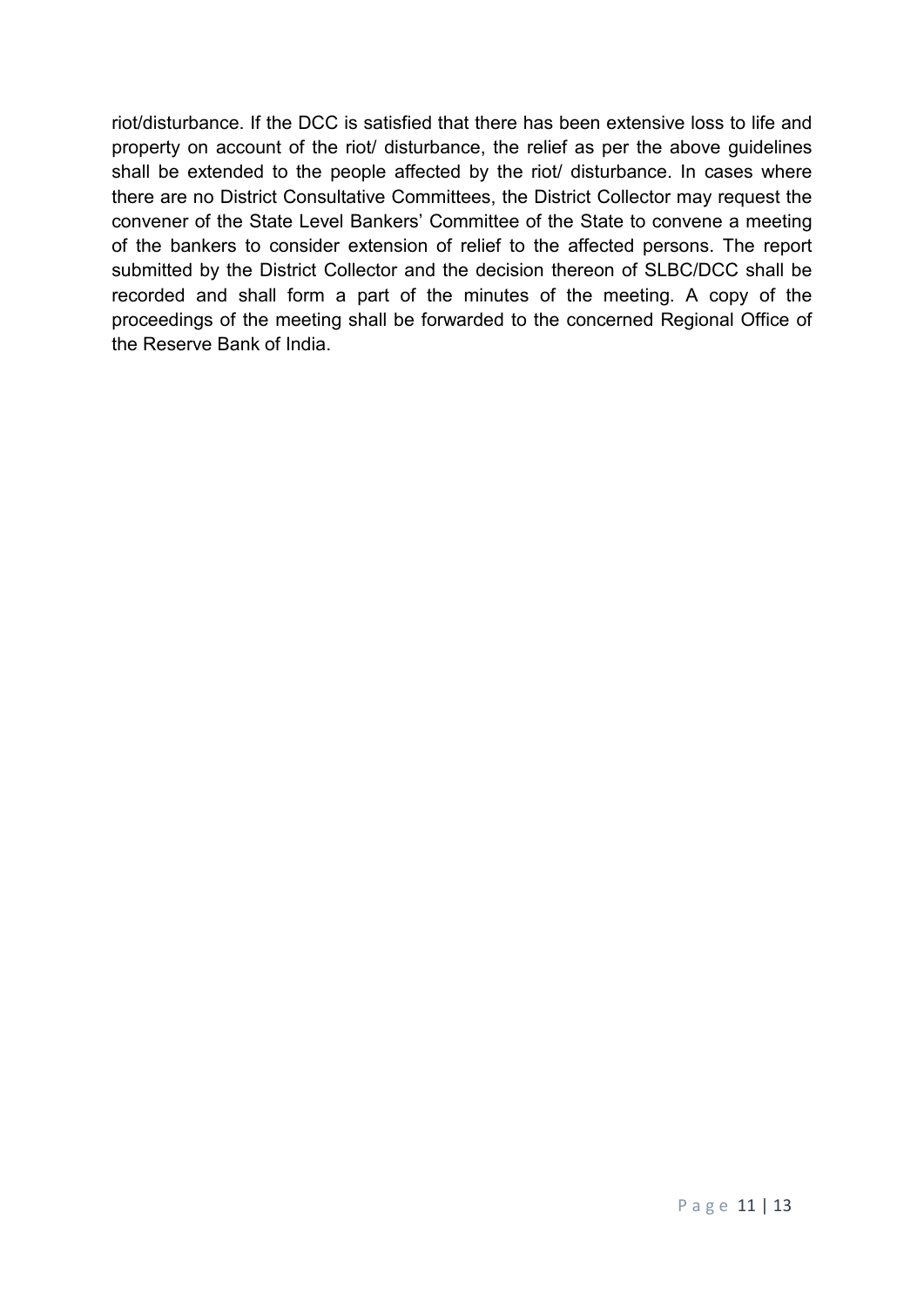riot/disturbance. If the DCC is satisfied that there has been extensive loss to life and property on account of the riot/ disturbance, the relief as per the above guidelines shall be extended to the people affected by the riot/ disturbance. In cases where there are no District Consultative Committees, the District Collector may request the convener of the State Level Bankers' Committee of the State to convene a meeting of the bankers to consider extension of relief to the affected persons. The report submitted by the District Collector and the decision thereon of SLBC/DCC shall be recorded and shall form a part of the minutes of the meeting. A copy of the proceedings of the meeting shall be forwarded to the concerned Regional Office of the Reserve Bank of India.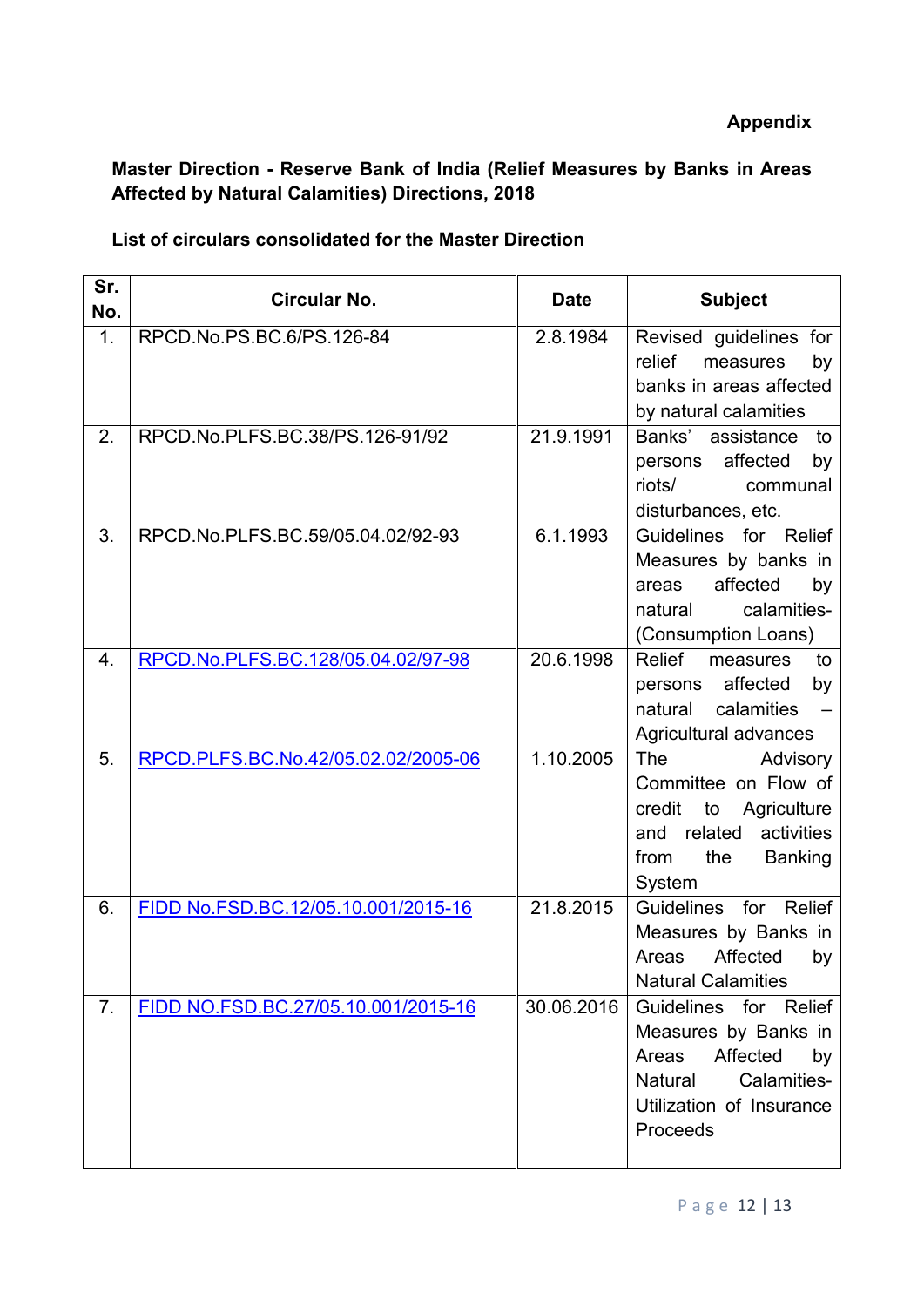# <span id="page-11-0"></span>**Master Direction - Reserve Bank of India (Relief Measures by Banks in Areas Affected by Natural Calamities) Directions, 2018**

### **List of circulars consolidated for the Master Direction**

| Sr.<br>No. | Circular No.                        | <b>Date</b> | <b>Subject</b>                                                                                                                                    |  |  |
|------------|-------------------------------------|-------------|---------------------------------------------------------------------------------------------------------------------------------------------------|--|--|
| 1.         | RPCD.No.PS.BC.6/PS.126-84           | 2.8.1984    | Revised guidelines for<br>relief<br>measures<br>by<br>banks in areas affected<br>by natural calamities                                            |  |  |
| 2.         | RPCD.No.PLFS.BC.38/PS.126-91/92     | 21.9.1991   | Banks' assistance<br>to<br>affected<br>by<br>persons<br>riots/<br>communal<br>disturbances, etc.                                                  |  |  |
| 3.         | RPCD.No.PLFS.BC.59/05.04.02/92-93   | 6.1.1993    | Guidelines for Relief<br>Measures by banks in<br>affected<br>areas<br>by<br>calamities-<br>natural<br>(Consumption Loans)                         |  |  |
| 4.         | RPCD.No.PLFS.BC.128/05.04.02/97-98  | 20.6.1998   | Relief<br>measures<br>to<br>affected<br>by<br>persons<br>calamities<br>natural<br>Agricultural advances                                           |  |  |
| 5.         | RPCD.PLFS.BC.No.42/05.02.02/2005-06 | 1.10.2005   | The<br>Advisory<br>Committee on Flow of<br>credit<br>to<br>Agriculture<br>related<br>activities<br>and<br>the<br><b>Banking</b><br>from<br>System |  |  |
| 6.         | FIDD No.FSD.BC.12/05.10.001/2015-16 | 21.8.2015   | <b>Guidelines</b><br>for<br>Relief<br>Measures by Banks in<br>Affected<br>Areas<br>by<br><b>Natural Calamities</b>                                |  |  |
| 7.         | FIDD NO.FSD.BC.27/05.10.001/2015-16 | 30.06.2016  | Guidelines for Relief<br>Measures by Banks in<br>Areas<br>Affected<br>by<br>Natural<br>Calamities-<br>Utilization of Insurance<br>Proceeds        |  |  |